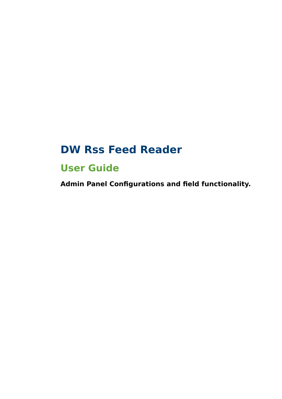# **DW Rss Feed Reader**

## **User Guide**

**Admin Panel Configurations and field functionality.**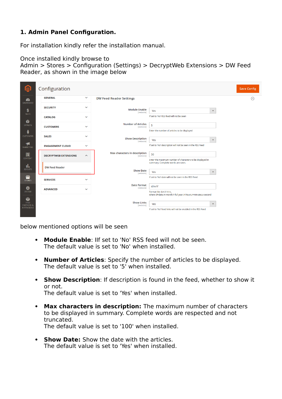## **1. Admin Panel Configuration.**

For installation kindly refer the installation manual.

Once installed kindly browse to Admin > Stores > Configuration (Settings) > DecryptWeb Extensions > DW Feed Reader, as shown in the image below

| ⋒                                                              | Configuration                |                     |                                            |                                                                                                                                     |                      | <b>Save Config</b> |
|----------------------------------------------------------------|------------------------------|---------------------|--------------------------------------------|-------------------------------------------------------------------------------------------------------------------------------------|----------------------|--------------------|
| Ø<br><b>DASHBOARD</b>                                          | <b>GENERAL</b>               | $\checkmark$        | <b>DW Feed Reader Settings</b>             |                                                                                                                                     |                      | $\odot$            |
| \$                                                             | <b>SECURITY</b>              | $\checkmark$        | <b>Module Enable</b><br>[website]          | Yes                                                                                                                                 | $\mathbf{v}$         |                    |
| SALES<br>Ŵ                                                     | <b>CATALOG</b>               | $\checkmark$        |                                            | If set to 'No' RSS feed will not be seen                                                                                            |                      |                    |
| CATALO G                                                       | <b>CUSTOMERS</b>             | $\checkmark$        | <b>Number of Articles</b><br>[website]     | 5                                                                                                                                   |                      |                    |
| Å<br><b>CUSTOMERS</b>                                          | <b>SALES</b>                 | $\checkmark$        | <b>Show Description</b>                    | Enter the number of articles to be displayed                                                                                        |                      |                    |
| Ч<br><b>MARKETING</b>                                          | <b>ENGAGEMENT CLOUD</b>      | $\checkmark$        | [website]                                  | Yes<br>If set to 'No' description will not be seen in the RSS Feed                                                                  | $\blacktriangledown$ |                    |
| 同<br>CONTENT                                                   | <b>DECRYPTWEB EXTENSIONS</b> | $\hat{\phantom{a}}$ | Max characters in description<br>[website] | 50<br>Enter the maximum number of characters to be displayed in                                                                     |                      |                    |
| ıl,<br><b>REPORTS</b>                                          | <b>DW Feed Reader</b>        |                     | <b>Show Date</b><br>[website]              | summary. Complete words are seen.<br>Yes                                                                                            | $\blacktriangledown$ |                    |
| ▥<br><b>STORES</b>                                             | <b>SERVICES</b>              | $\checkmark$        |                                            | If set to 'No' date will not be seen in the RSS Feed                                                                                |                      |                    |
| ⋫<br>SYSTEM                                                    | <b>ADVANCED</b>              | $\checkmark$        | <b>Date Format</b><br>[website]            | d/m/Y<br>Format like d.m.Y H:i:s,                                                                                                   |                      |                    |
| ♦<br><b>FIND</b><br><b>PARTNERS &amp;</b><br><b>EXTENSIONS</b> |                              |                     | <b>Show Links</b><br>[website]             | where d=date,m-month,Y-full year,H-hours,i=minutes,s-second<br>Yes<br>If set to 'No' feed links will not be enabled in the RSS Feed | $\blacktriangledown$ |                    |

below mentioned options will be seen

- **Module Enable**: IIf set to 'No' RSS feed will not be seen. The default value is set to 'No' when installed.
- **Number of Articles**: Specify the number of articles to be displayed. The default value is set to '5' when installed.
- **Show Description**: If description is found in the feed, whether to show it or not. The default value is set to 'Yes' when installed.
- **Max characters in description:** The maximum number of characters to be displayed in summary. Complete words are respected and not truncated.

The default value is set to '100' when installed.

 **Show Date:** Show the date with the articles. The default value is set to 'Yes' when installed.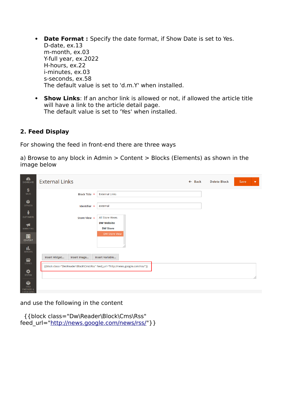- **Date Format :** Specify the date format, if Show Date is set to Yes. D-date, ex.13 m-month, ex.03 Y-full year, ex.2022 H-hours, ex.22 i-minutes, ex.03 s-seconds, ex.58 The default value is set to 'd.m.Y' when installed.
- **Show Links**: If an anchor link is allowed or not, if allowed the article title will have a link to the article detail page. The default value is set to 'Yes' when installed.

### **2. Feed Display**

For showing the feed in front-end there are three ways

a) Browse to any block in Admin > Content > Blocks (Elements) as shown in the image below

| $\mathbf{z}$<br>DASHBOARD                            | <b>External Links</b>                                                            |                                  | $\leftarrow$ Back | <b>Delete Block</b> | Save | $\overline{\mathbf{v}}$ |
|------------------------------------------------------|----------------------------------------------------------------------------------|----------------------------------|-------------------|---------------------|------|-------------------------|
| \$<br>SALES                                          | Block Title *                                                                    | <b>External Links</b>            |                   |                     |      |                         |
| Ŵ<br><b>CATALOG</b>                                  | Identifier *                                                                     | external                         |                   |                     |      |                         |
| Ŵ<br><b>CUSTOMERS</b>                                | Store View *                                                                     | All Store Views                  |                   |                     |      |                         |
| H                                                    |                                                                                  | <b>DW Website</b>                |                   |                     |      |                         |
| <b>MARKETING</b><br>$\blacksquare$<br><b>CONTENT</b> |                                                                                  | <b>DW Store</b><br>DW Store View |                   |                     |      |                         |
| d.<br><b>REPORTS</b>                                 |                                                                                  |                                  |                   |                     |      |                         |
| ▥                                                    | Insert Widget<br>Insert Image                                                    | Insert Variable                  |                   |                     |      |                         |
| <b>STORES</b><br>✿<br>SYSTEM                         | {{block class="Dw\Reader\Block\Cms\Rss" feed_url="http://news.google.com/rss/"}} |                                  |                   |                     |      |                         |
| ¢<br><b>FIND</b><br><b>DARTNICRC O</b>               |                                                                                  |                                  |                   |                     |      |                         |

and use the following in the content

 {{block class="Dw\Reader\Block\Cms\Rss" feed\_url=["http://news.google.com/news/rss/"](http://news.google.com/news/rss/)} }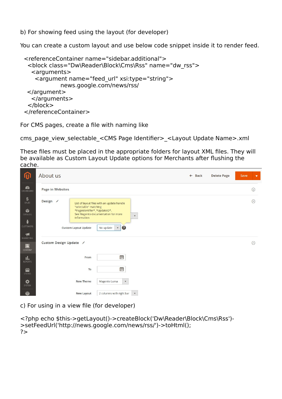b) For showing feed using the layout (for developer)

You can create a custom layout and use below code snippet inside it to render feed.

```
 <referenceContainer name="sidebar.additional">
  <block class="Dw\Reader\Block\Cms\Rss" name="dw_rss">
   <arguments>
    <argument name="feed_url" xsi:type="string">
           news.google.com/news/rss/
 </argument>
   </arguments>
  </block>
 </referenceContainer>
```
For CMS pages, create a file with naming like

cms\_page\_view\_selectable\_<CMS Page Identifier> <Layout Update Name>.xml

These files must be placed in the appropriate folders for layout XML files. They will be available as Custom Layout Update options for Merchants after flushing the cache.

| 伽                                                                                              | About us                                                                                                               |                                                                                                                                            | $\leftarrow$ Back | <b>Delete Page</b> | Save | $\overline{\mathbf{v}}$ |
|------------------------------------------------------------------------------------------------|------------------------------------------------------------------------------------------------------------------------|--------------------------------------------------------------------------------------------------------------------------------------------|-------------------|--------------------|------|-------------------------|
| $\mathbf{z}$<br>DASHBOARD                                                                      | Page in Websites                                                                                                       |                                                                                                                                            |                   |                    |      | $\odot$                 |
| $S_{\text{ALES}}$<br>Ŷ<br>CATALOG<br>$\frac{2}{N}$<br><b>CUSTOMERS</b><br>$\blacktriangleleft$ | Design /<br>"selectable" matching<br>*PageIdentifier*_*UpdateID*.<br><b>Information</b><br><b>Custom Layout Update</b> | List of layout files with an update handle<br>See Magento documentation for more<br>$\mathbf{v}$<br>$\bullet$<br>No update<br>$\mathbf{v}$ |                   |                    |      | $\odot$                 |
| MARKETING<br>$\Box$<br>CONTENT                                                                 | Custom Design Update /                                                                                                 |                                                                                                                                            |                   |                    |      | $\odot$                 |
| ıl.<br>REPORTS                                                                                 | From                                                                                                                   | Ë                                                                                                                                          |                   |                    |      |                         |
| ▥<br><b>STORES</b>                                                                             | To                                                                                                                     | Ë                                                                                                                                          |                   |                    |      |                         |
| ❖<br>SYSTEM                                                                                    | <b>New Theme</b>                                                                                                       | Magento Luma<br>$\blacktriangledown$                                                                                                       |                   |                    |      |                         |
| ÷                                                                                              | <b>New Layout</b>                                                                                                      | 2 columns with right bar<br>$\mathbf v$                                                                                                    |                   |                    |      |                         |

c) For using in a view file (for developer)

```
<?php echo $this->getLayout()->createBlock('Dw\Reader\Block\Cms\Rss')-
>setFeedUrl('http://news.google.com/news/rss/')->toHtml(); 
?>
```